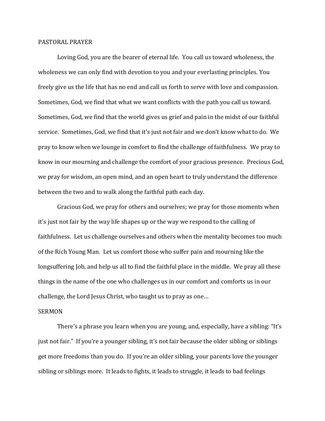## PASTORAL PRAYER

Loving God, you are the bearer of eternal life. You call us toward wholeness, the wholeness we can only find with devotion to you and your everlasting principles. You freely give us the life that has no end and call us forth to serve with love and compassion. Sometimes, God, we find that what we want conflicts with the path you call us toward. Sometimes, God, we find that the world gives us grief and pain in the midst of our faithful service. Sometimes, God, we find that it's just not fair and we don't know what to do. We pray to know when we lounge in comfort to find the challenge of faithfulness. We pray to know in our mourning and challenge the comfort of your gracious presence. Precious God, we pray for wisdom, an open mind, and an open heart to truly understand the difference between the two and to walk along the faithful path each day.

Gracious God, we pray for others and ourselves; we pray for those moments when it's just not fair by the way life shapes up or the way we respond to the calling of faithfulness. Let us challenge ourselves and others when the mentality becomes too much of the Rich Young Man. Let us comfort those who suffer pain and mourning like the longsuffering Job, and help us all to find the faithful place in the middle. We pray all these things in the name of the one who challenges us in our comfort and comforts us in our challenge, the Lord Jesus Christ, who taught us to pray as one…

## SERMON

There's a phrase you learn when you are young, and, especially, have a sibling: "It's just not fair." If you're a younger sibling, it's not fair because the older sibling or siblings get more freedoms than you do. If you're an older sibling, your parents love the younger sibling or siblings more. It leads to fights, it leads to struggle, it leads to bad feelings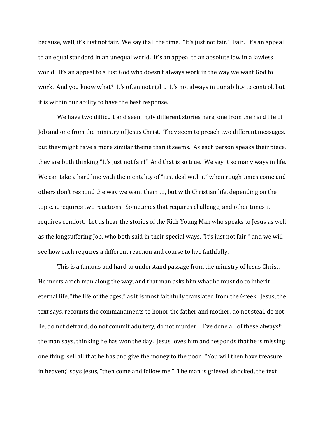because, well, it's just not fair. We say it all the time. "It's just not fair." Fair. It's an appeal to an equal standard in an unequal world. It's an appeal to an absolute law in a lawless world. It's an appeal to a just God who doesn't always work in the way we want God to work. And you know what? It's often not right. It's not always in our ability to control, but it is within our ability to have the best response.

We have two difficult and seemingly different stories here, one from the hard life of Job and one from the ministry of Jesus Christ. They seem to preach two different messages, but they might have a more similar theme than it seems. As each person speaks their piece, they are both thinking "It's just not fair!" And that is so true. We say it so many ways in life. We can take a hard line with the mentality of "just deal with it" when rough times come and others don't respond the way we want them to, but with Christian life, depending on the topic, it requires two reactions. Sometimes that requires challenge, and other times it requires comfort. Let us hear the stories of the Rich Young Man who speaks to Jesus as well as the longsuffering Job, who both said in their special ways, "It's just not fair!" and we will see how each requires a different reaction and course to live faithfully.

This is a famous and hard to understand passage from the ministry of Jesus Christ. He meets a rich man along the way, and that man asks him what he must do to inherit eternal life, "the life of the ages," as it is most faithfully translated from the Greek. Jesus, the text says, recounts the commandments to honor the father and mother, do not steal, do not lie, do not defraud, do not commit adultery, do not murder. "I've done all of these always!" the man says, thinking he has won the day. Jesus loves him and responds that he is missing one thing: sell all that he has and give the money to the poor. "You will then have treasure in heaven;" says Jesus, "then come and follow me." The man is grieved, shocked, the text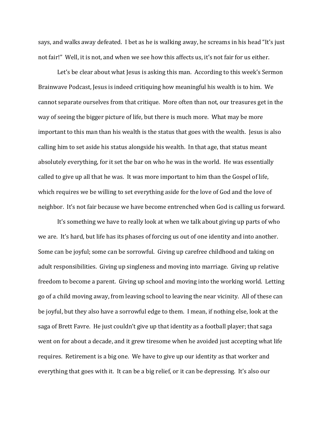says, and walks away defeated. I bet as he is walking away, he screams in his head "It's just not fair!" Well, it is not, and when we see how this affects us, it's not fair for us either.

Let's be clear about what Jesus is asking this man. According to this week's Sermon Brainwave Podcast, Jesus is indeed critiquing how meaningful his wealth is to him. We cannot separate ourselves from that critique. More often than not, our treasures get in the way of seeing the bigger picture of life, but there is much more. What may be more important to this man than his wealth is the status that goes with the wealth. Jesus is also calling him to set aside his status alongside his wealth. In that age, that status meant absolutely everything, for it set the bar on who he was in the world. He was essentially called to give up all that he was. It was more important to him than the Gospel of life, which requires we be willing to set everything aside for the love of God and the love of neighbor. It's not fair because we have become entrenched when God is calling us forward.

It's something we have to really look at when we talk about giving up parts of who we are. It's hard, but life has its phases of forcing us out of one identity and into another. Some can be joyful; some can be sorrowful. Giving up carefree childhood and taking on adult responsibilities. Giving up singleness and moving into marriage. Giving up relative freedom to become a parent. Giving up school and moving into the working world. Letting go of a child moving away, from leaving school to leaving the near vicinity. All of these can be joyful, but they also have a sorrowful edge to them. I mean, if nothing else, look at the saga of Brett Favre. He just couldn't give up that identity as a football player; that saga went on for about a decade, and it grew tiresome when he avoided just accepting what life requires. Retirement is a big one. We have to give up our identity as that worker and everything that goes with it. It can be a big relief, or it can be depressing. It's also our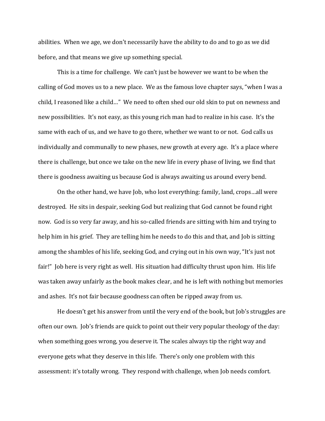abilities. When we age, we don't necessarily have the ability to do and to go as we did before, and that means we give up something special.

This is a time for challenge. We can't just be however we want to be when the calling of God moves us to a new place. We as the famous love chapter says, "when I was a child, I reasoned like a child…" We need to often shed our old skin to put on newness and new possibilities. It's not easy, as this young rich man had to realize in his case. It's the same with each of us, and we have to go there, whether we want to or not. God calls us individually and communally to new phases, new growth at every age. It's a place where there is challenge, but once we take on the new life in every phase of living, we find that there is goodness awaiting us because God is always awaiting us around every bend.

On the other hand, we have Job, who lost everything: family, land, crops…all were destroyed. He sits in despair, seeking God but realizing that God cannot be found right now. God is so very far away, and his so-called friends are sitting with him and trying to help him in his grief. They are telling him he needs to do this and that, and Job is sitting among the shambles of his life, seeking God, and crying out in his own way, "It's just not fair!" Job here is very right as well. His situation had difficulty thrust upon him. His life was taken away unfairly as the book makes clear, and he is left with nothing but memories and ashes. It's not fair because goodness can often be ripped away from us.

He doesn't get his answer from until the very end of the book, but Job's struggles are often our own. Job's friends are quick to point out their very popular theology of the day: when something goes wrong, you deserve it. The scales always tip the right way and everyone gets what they deserve in this life. There's only one problem with this assessment: it's totally wrong. They respond with challenge, when Job needs comfort.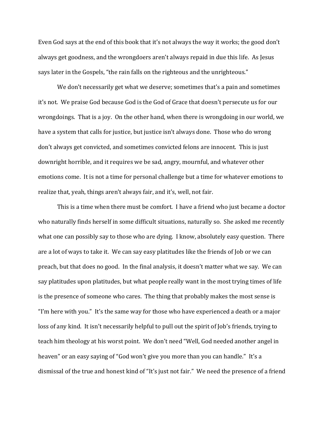Even God says at the end of this book that it's not always the way it works; the good don't always get goodness, and the wrongdoers aren't always repaid in due this life. As Jesus says later in the Gospels, "the rain falls on the righteous and the unrighteous."

We don't necessarily get what we deserve; sometimes that's a pain and sometimes it's not. We praise God because God is the God of Grace that doesn't persecute us for our wrongdoings. That is a joy. On the other hand, when there is wrongdoing in our world, we have a system that calls for justice, but justice isn't always done. Those who do wrong don't always get convicted, and sometimes convicted felons are innocent. This is just downright horrible, and it requires we be sad, angry, mournful, and whatever other emotions come. It is not a time for personal challenge but a time for whatever emotions to realize that, yeah, things aren't always fair, and it's, well, not fair.

This is a time when there must be comfort. I have a friend who just became a doctor who naturally finds herself in some difficult situations, naturally so. She asked me recently what one can possibly say to those who are dying. I know, absolutely easy question. There are a lot of ways to take it. We can say easy platitudes like the friends of Job or we can preach, but that does no good. In the final analysis, it doesn't matter what we say. We can say platitudes upon platitudes, but what people really want in the most trying times of life is the presence of someone who cares. The thing that probably makes the most sense is "I'm here with you." It's the same way for those who have experienced a death or a major loss of any kind. It isn't necessarily helpful to pull out the spirit of Job's friends, trying to teach him theology at his worst point. We don't need "Well, God needed another angel in heaven" or an easy saying of "God won't give you more than you can handle." It's a dismissal of the true and honest kind of "It's just not fair." We need the presence of a friend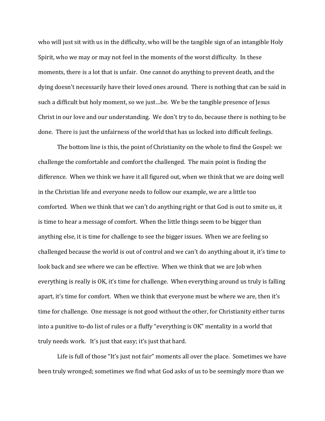who will just sit with us in the difficulty, who will be the tangible sign of an intangible Holy Spirit, who we may or may not feel in the moments of the worst difficulty. In these moments, there is a lot that is unfair. One cannot do anything to prevent death, and the dying doesn't necessarily have their loved ones around. There is nothing that can be said in such a difficult but holy moment, so we just…be. We be the tangible presence of Jesus Christ in our love and our understanding. We don't try to do, because there is nothing to be done. There is just the unfairness of the world that has us locked into difficult feelings.

The bottom line is this, the point of Christianity on the whole to find the Gospel: we challenge the comfortable and comfort the challenged. The main point is finding the difference. When we think we have it all figured out, when we think that we are doing well in the Christian life and everyone needs to follow our example, we are a little too comforted. When we think that we can't do anything right or that God is out to smite us, it is time to hear a message of comfort. When the little things seem to be bigger than anything else, it is time for challenge to see the bigger issues. When we are feeling so challenged because the world is out of control and we can't do anything about it, it's time to look back and see where we can be effective. When we think that we are Job when everything is really is OK, it's time for challenge. When everything around us truly is falling apart, it's time for comfort. When we think that everyone must be where we are, then it's time for challenge. One message is not good without the other, for Christianity either turns into a punitive to-do list of rules or a fluffy "everything is OK" mentality in a world that truly needs work. It's just that easy; it's just that hard.

Life is full of those "It's just not fair" moments all over the place. Sometimes we have been truly wronged; sometimes we find what God asks of us to be seemingly more than we